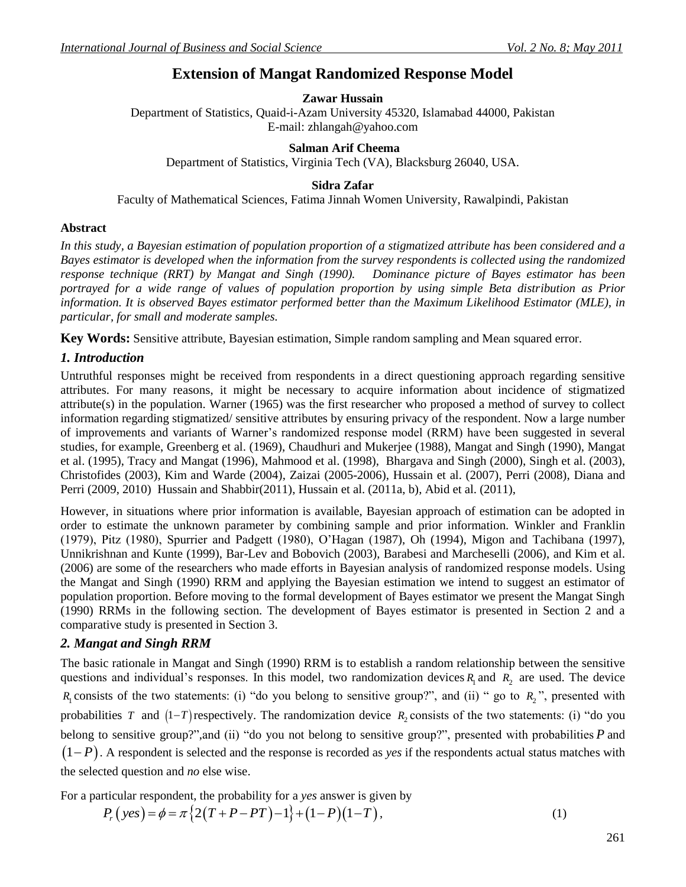# **Extension of Mangat Randomized Response Model**

## **Zawar Hussain**

Department of Statistics, Quaid-i-Azam University 45320, Islamabad 44000, Pakistan E-mail[: zhlangah@yahoo.com](mailto:zhlangah@yahoo.com)

#### **Salman Arif Cheema**

Department of Statistics, Virginia Tech (VA), Blacksburg 26040, USA.

#### **Sidra Zafar**

Faculty of Mathematical Sciences, Fatima Jinnah Women University, Rawalpindi, Pakistan

#### **Abstract**

*In this study, a Bayesian estimation of population proportion of a stigmatized attribute has been considered and a Bayes estimator is developed when the information from the survey respondents is collected using the randomized response technique (RRT) by Mangat and Singh (1990). Dominance picture of Bayes estimator has been portrayed for a wide range of values of population proportion by using simple Beta distribution as Prior information. It is observed Bayes estimator performed better than the Maximum Likelihood Estimator (MLE), in particular, for small and moderate samples.*

**Key Words:** Sensitive attribute, Bayesian estimation, Simple random sampling and Mean squared error.

## *1. Introduction*

Untruthful responses might be received from respondents in a direct questioning approach regarding sensitive attributes. For many reasons, it might be necessary to acquire information about incidence of stigmatized attribute(s) in the population. Warner (1965) was the first researcher who proposed a method of survey to collect information regarding stigmatized/ sensitive attributes by ensuring privacy of the respondent. Now a large number of improvements and variants of Warner's randomized response model (RRM) have been suggested in several studies, for example, Greenberg et al. (1969), Chaudhuri and Mukerjee (1988), Mangat and Singh (1990), Mangat et al. (1995), Tracy and Mangat (1996), Mahmood et al. (1998), Bhargava and Singh (2000), Singh et al. (2003), Christofides (2003), Kim and Warde (2004), Zaizai (2005-2006), Hussain et al. (2007), Perri (2008), Diana and Perri (2009, 2010) Hussain and Shabbir(2011), Hussain et al. (2011a, b), Abid et al. (2011),

However, in situations where prior information is available, Bayesian approach of estimation can be adopted in order to estimate the unknown parameter by combining sample and prior information. Winkler and Franklin (1979), Pitz (1980), Spurrier and Padgett (1980), O'Hagan (1987), Oh (1994), Migon and Tachibana (1997), Unnikrishnan and Kunte (1999), Bar-Lev and Bobovich (2003), Barabesi and Marcheselli (2006), and Kim et al. (2006) are some of the researchers who made efforts in Bayesian analysis of randomized response models. Using the Mangat and Singh (1990) RRM and applying the Bayesian estimation we intend to suggest an estimator of population proportion. Before moving to the formal development of Bayes estimator we present the Mangat Singh (1990) RRMs in the following section. The development of Bayes estimator is presented in Section 2 and a comparative study is presented in Section 3.

### *2. Mangat and Singh RRM*

The basic rationale in Mangat and Singh (1990) RRM is to establish a random relationship between the sensitive questions and individual's responses. In this model, two randomization devices  $R_1$  and  $R_2$  are used. The device  $R_1$  consists of the two statements: (i) "do you belong to sensitive group?", and (ii) " go to  $R_2$ ", presented with probabilities T and  $(1-T)$  respectively. The randomization device  $R_2$  consists of the two statements: (i) "do you belong to sensitive group?", and (ii) "do you not belong to sensitive group?", presented with probabilities P and  $(1-P)$ . A respondent is selected and the response is recorded as *yes* if the respondents actual status matches with the selected question and *no* else wise.

For a particular respondent, the probability for a *yes* answer is given by

$$
Pricular\,respondent, the probability for a yes answer is given by
$$
\n
$$
P_r(yes) = \phi = \pi \{ 2(T + P - PT) - 1 \} + (1 - P)(1 - T),
$$
\n(1)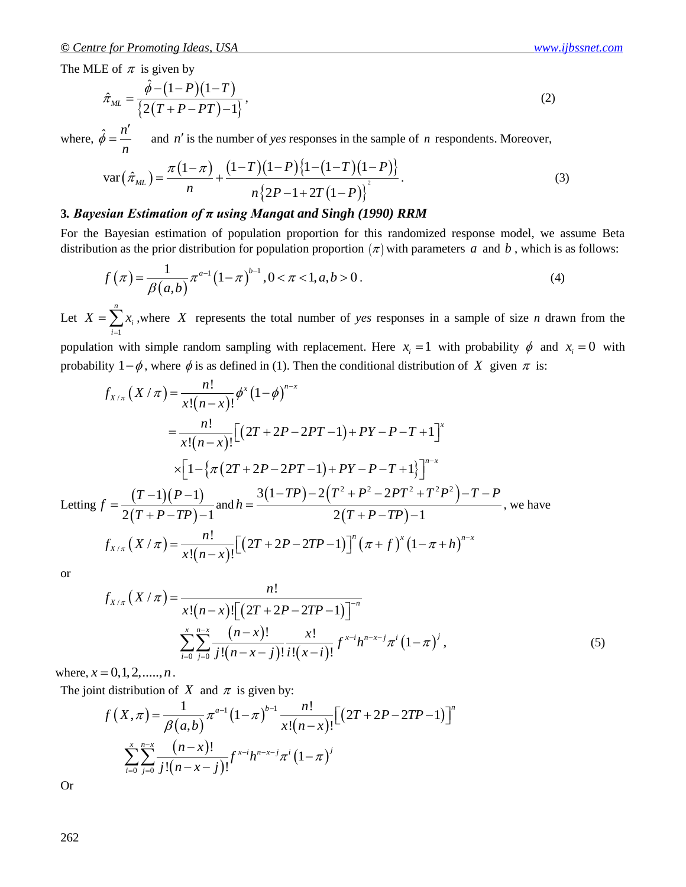The MLE of  $\pi$  is given by

$$
\hat{\pi}_{ML} = \frac{\hat{\phi} - (1 - P)(1 - T)}{\left\{2(T + P - PT) - 1\right\}},\tag{2}
$$

where,  $\hat{\phi} = \frac{n}{n}$ *n*  $\phi$  $\overline{\phantom{a}}$  $=$ 

$$
\hat{\phi} = \frac{n}{n} \quad \text{and } n' \text{ is the number of yes responses in the sample of } n \text{ respondents. Moreover,}
$$
\n
$$
\text{var}\left(\hat{\pi}_{ML}\right) = \frac{\pi \left(1 - \pi\right)}{n} + \frac{\left(1 - T\right)\left(1 - P\right)\left\{1 - \left(1 - T\right)\left(1 - P\right)\right\}}{n \left\{2P - 1 + 2T\left(1 - P\right)\right\}^2}.
$$
\n(3)

#### **3***. Bayesian Estimation of π using Mangat and Singh (1990) RRM*

For the Bayesian estimation of population proportion for this randomized response model, we assume Beta

distribution as the prior distribution for population proportion 
$$
(\pi)
$$
 with parameters  $a$  and  $b$ , which is as follows:  
\n
$$
f(\pi) = \frac{1}{\beta(a,b)} \pi^{a-1} (1-\pi)^{b-1}, 0 < \pi < 1, a, b > 0.
$$
\n(4)

Let 1 *n i i*  $X = \sum x$  $=\sum_{i=1}^{n} x_i$ , where X represents the total number of *yes* responses in a sample of size *n* drawn from the population with simple random sampling with replacement. Here  $x_i = 1$  with probability  $\phi$  and  $x_i = 0$  with

probability 
$$
1-\phi
$$
, where  $\phi$  is as defined in (1). Then the conditional distribution of *X* given  $\pi$  is:  
\n
$$
f_{X/\pi}(X/\pi) = \frac{n!}{x!(n-x)!} \phi^x (1-\phi)^{n-x}
$$
\n
$$
= \frac{n!}{x!(n-x)!} \Big[ (2T+2P-2PT-1) + PY-P-T+1 \Big]^x
$$
\n
$$
\times \Big[ 1 - \Big\{ \pi (2T+2P-2PT-1) + PY-P-T+1 \Big\} \Big]^{n-x}
$$
\nLetting  $f = \frac{(T-1)(P-1)}{2(T+P-TP)-1}$  and  $h = \frac{3(1-TP)-2(T^2+P^2-2PT^2+T^2P^2)-T-P}{2(T+P-TP)-1}$ , we have  
\n
$$
f_{X/\pi}(X/\pi) = \frac{n!}{x!(n-x)!} \Big[ (2T+2P-2TP-1) \Big]^n (\pi+f)^x (1-\pi+h)^{n-x}
$$

or

$$
f_{X/\pi}\left(X/\pi\right) = \frac{n!}{x!\left(n-x\right)!\left[\left(2T+2P-2TP-1\right)\right]^{-n}}\n\sum_{i=0}^{x}\sum_{j=0}^{n-x}\frac{(n-x)!}{j!\left(n-x-j\right)!}\frac{x!}{i!\left(x-i\right)!}f^{x-i}h^{n-x-j}\pi^{i}\left(1-\pi\right)^{j},
$$
\n(5)

where,  $x = 0, 1, 2, \dots, n$ .

The joint distribution of X and  $\pi$  is given by:

$$
f(x, \pi) = 0, 1, 2, \dots, n.
$$
  
nt distribution of *X* and  $\pi$  is given by:  

$$
f(x, \pi) = \frac{1}{\beta(a, b)} \pi^{a-1} (1-\pi)^{b-1} \frac{n!}{x!(n-x)!} [(2T + 2P - 2TP - 1)]^n
$$

$$
\sum_{i=0}^{x} \sum_{j=0}^{n-x} \frac{(n-x)!}{j!(n-x-j)!} f^{x-i} h^{n-x-j} \pi^i (1-\pi)^j
$$

Or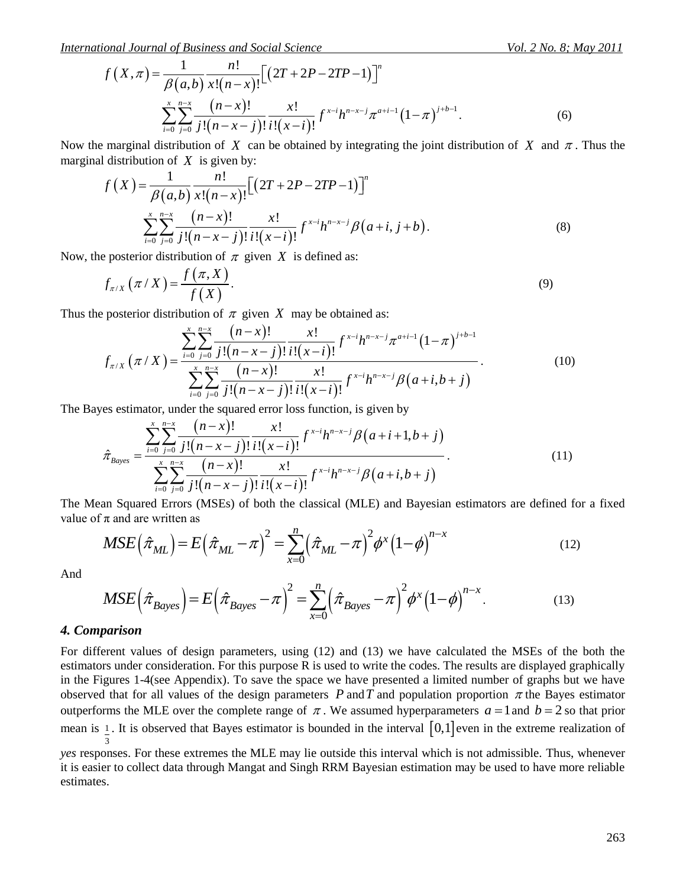*International Journal of Business and Social Science* Vol. 2 No. 8; May 2011

ional Journal of Business and Social Science  
\n
$$
f(X,\pi) = \frac{1}{\beta(a,b)} \frac{n!}{x!(n-x)!} [(2T + 2P - 2TP - 1)]^n
$$
\n
$$
\sum_{i=0}^{x} \sum_{j=0}^{n-x} \frac{(n-x)!}{j!(n-x-j)!} \frac{x!}{i!(x-i)!} f^{x-i} h^{n-x-j} \pi^{a+i-1} (1-\pi)^{j+b-1}.
$$
\n(6)

Now the marginal distribution of *X* can be obtained by integrating the joint distribution of *X* and  $\pi$ . Thus the marginal distribution of *X* is given by:<br>  $f(X) = \frac{1}{\beta(a, b)} \frac{n!}{x!(n-x)!} [(2T + 2P - 2TP - 1)]^n$ 

marginal distribution of *X* is given by:  
\n
$$
f(X) = \frac{1}{\beta(a,b)} \frac{n!}{x!(n-x)!} [(2T + 2P - 2TP - 1)]^n
$$
\n
$$
\sum_{i=0}^{x} \sum_{j=0}^{n-x} \frac{(n-x)!}{j!(n-x-j)!} \frac{x!}{i!(x-i)!} f^{x-i} h^{n-x-j} \beta(a+i, j+b).
$$
\n(8)

Now, the posterior distribution of  $\pi$  given X is defined as:

$$
f_{\pi/X}(\pi/X) = \frac{f(\pi,X)}{f(X)}.
$$
\n(9)

$$
f_{\pi/X}(\pi/X) = \frac{f(\pi,X)}{f(X)}.
$$
\nThus the posterior distribution of  $\pi$  given  $X$  may be obtained as:

\n
$$
f_{\pi/X}(\pi/X) = \frac{\sum_{i=0}^{x} \sum_{j=0}^{n-x} \frac{(n-x)!}{j!(n-x-j)!} x!}{\sum_{i=0}^{x} \sum_{j=0}^{n-x} \frac{(n-x)!}{j!(n-x-j)!} x!}{\sum_{i=0}^{x} \sum_{j=0}^{n-x} \frac{(n-x)!}{j!(n-x-j)!} x!}{\sum_{i=0}^{x} \sum_{j=0}^{n-x} \frac{(n-x)!}{j!(n-x-j)!} f^{x-i} h^{n-x-j} \beta(a+i,b+j)}
$$
\n(10)

$$
\sum_{i=0}^{n} \sum_{j=0}^{n} \frac{(n-x)!}{j!(n-x-j)!} \frac{x!}{i!(x-i)!} f^{x-i}h^{n-x-j}\beta(a+i,b+j)
$$
  
The Bayes estimator, under the squared error loss function, is given by  

$$
\hat{\pi}_{Bayes} = \frac{\sum_{i=0}^{x} \sum_{j=0}^{n-x} \frac{(n-x)!}{j!(n-x-j)!} \frac{x!}{i!(x-i)!} f^{x-i}h^{n-x-j}\beta(a+i+1,b+j)}{\sum_{i=0}^{x} \sum_{j=0}^{n-x} \frac{(n-x)!}{j!(n-x-j)!} \frac{x!}{i!(x-i)!} f^{x-i}h^{n-x-j}\beta(a+i,b+j)}
$$
(11)

value of  $\pi$  and are written as *n* classical (MLE) and Bayesian<br> $\sum_{n=1}^{\infty} (\hat{\pi}_{xx} - \pi)^2 dx (1 - \phi)^{n-x}$ 

The Mean Squared Errors (MSEs) of both the classical (MLE) and Bayesian estimators are defined for a fixed value of 
$$
\pi
$$
 and are written as\n
$$
MSE\left(\hat{\pi}_{ML}\right) = E\left(\hat{\pi}_{ML} - \pi\right)^2 = \sum_{x=0}^{n} \left(\hat{\pi}_{ML} - \pi\right)^2 \phi^x \left(1 - \phi\right)^{n-x}
$$
\n(12)\nAnd\n
$$
MSE\left(\hat{\pi}_{ML}\right) = E\left(\hat{\pi}_{ML} - \pi\right)^2 = \sum_{x=0}^{n} \left(\hat{\pi}_{ML} - \pi\right)^2 \phi^x \left(1 - \phi\right)^{n-x}
$$
\n(13)

And

$$
MSE\left(\hat{\pi}_{ML}\right) = E\left(\hat{\pi}_{ML} - \pi\right)^{-1} = \sum_{x=0}^{n} \left(\hat{\pi}_{ML} - \pi\right)^{-} \phi^{x} \left(1 - \phi\right)^{n-x}
$$
\n
$$
MSE\left(\hat{\pi}_{Bayes}\right) = E\left(\hat{\pi}_{Bayes} - \pi\right)^{2} = \sum_{x=0}^{n} \left(\hat{\pi}_{Bayes} - \pi\right)^{2} \phi^{x} \left(1 - \phi\right)^{n-x}.
$$
\n
$$
(13)
$$

#### *4. Comparison*

 $(X, \pi) = \frac{1}{\beta} \sum_{k=1}^{\infty} \frac{(n-k)!}{(n-k)!} \pi(\frac{(2T+2T-2TT-1)}{(1-\pi)^{k}})^{k-1}$ . (6)<br>  $\sum_{k=1}^{\infty} \frac{(n-k)!}{2! (n-k-1)!} \pi(\frac{(n-k-1)!}{(1-\pi)^{k}})^{k-1} e^{i\pi n^{\alpha-1}} \pi^{\alpha n^{\alpha-1}} (1-\pi)^{k-1}$ . (6)<br>
Earthcoil distribution of X can be obtained by For different values of design parameters, using (12) and (13) we have calculated the MSEs of the both the estimators under consideration. For this purpose R is used to write the codes. The results are displayed graphically in the Figures 1-4(see Appendix). To save the space we have presented a limited number of graphs but we have observed that for all values of the design parameters  $P$  and  $T$  and population proportion  $\pi$  the Bayes estimator outperforms the MLE over the complete range of  $\pi$ . We assumed hyperparameters  $a = 1$  and  $b = 2$  so that prior mean is  $\perp$ . It is observed that Bayes estimator is bounded in the interval  $[0,1]$  even in the extreme realization of 3

*yes* responses. For these extremes the MLE may lie outside this interval which is not admissible. Thus, whenever it is easier to collect data through Mangat and Singh RRM Bayesian estimation may be used to have more reliable estimates.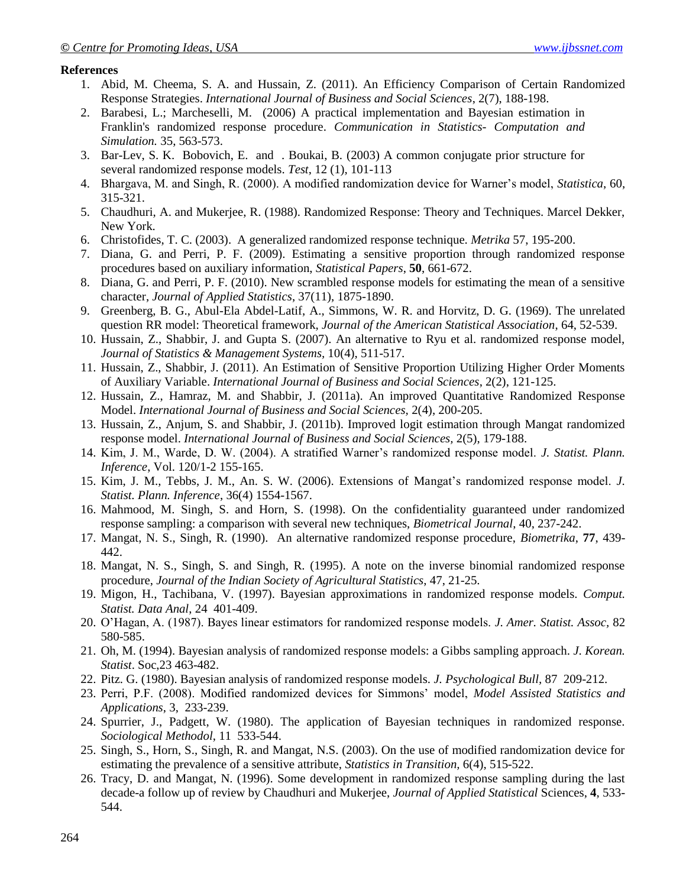#### **References**

- 1. Abid, M. Cheema, S. A. and Hussain, Z. (2011). An Efficiency Comparison of Certain Randomized Response Strategies. *International Journal of Business and Social Sciences*, 2(7), 188-198.
- 2. Barabesi, L.; Marcheselli, M. (2006) A practical implementation and Bayesian estimation in Franklin's randomized response procedure. *Communication in Statistics- Computation and Simulation.* 35, 563-573.
- 3. Bar-Lev, S. K. Bobovich, E. and . Boukai, B. (2003) A common conjugate prior structure for several randomized response models. *Test*, 12 (1), 101-113
- 4. Bhargava, M. and Singh, R. (2000). A modified randomization device for Warner's model, *Statistica*, 60, 315-321.
- 5. Chaudhuri, A. and Mukerjee, R. (1988). Randomized Response: Theory and Techniques. Marcel Dekker, New York.
- 6. Christofides, T. C. (2003). A generalized randomized response technique. *Metrika* 57, 195-200.
- 7. Diana, G. and Perri, P. F. (2009). Estimating a sensitive proportion through randomized response procedures based on auxiliary information, *Statistical Papers*, **50**, 661-672.
- 8. Diana, G. and Perri, P. F. (2010). New scrambled response models for estimating the mean of a sensitive character, *Journal of Applied Statistics*, 37(11), 1875-1890.
- 9. Greenberg, B. G., Abul-Ela Abdel-Latif, A., Simmons, W. R. and Horvitz, D. G. (1969). The unrelated question RR model: Theoretical framework, *Journal of the American Statistical Association*, 64, 52-539.
- 10. Hussain, Z., Shabbir, J. and Gupta S. (2007). An alternative to Ryu et al. randomized response model, *Journal of Statistics & Management Systems,* 10(4), 511-517.
- 11. Hussain, Z., Shabbir, J. (2011). An Estimation of Sensitive Proportion Utilizing Higher Order Moments of Auxiliary Variable. *International Journal of Business and Social Sciences*, 2(2), 121-125.
- 12. Hussain, Z., Hamraz, M. and Shabbir, J. (2011a). An improved Quantitative Randomized Response Model. *International Journal of Business and Social Sciences,* 2(4), 200-205.
- 13. Hussain, Z., Anjum, S. and Shabbir, J. (2011b). Improved logit estimation through Mangat randomized response model. *International Journal of Business and Social Sciences,* 2(5), 179-188.
- 14. Kim, J. M., Warde, D. W. (2004). A stratified Warner's randomized response model. *J. Statist. Plann. Inference*, Vol. 120/1-2 155-165.
- 15. Kim, J. M., Tebbs, J. M., An. S. W. (2006). Extensions of Mangat's randomized response model. *J. Statist. Plann. Inference*, 36(4) 1554-1567.
- 16. Mahmood, M. Singh, S. and Horn, S. (1998). On the confidentiality guaranteed under randomized response sampling: a comparison with several new techniques, *Biometrical Journal*, 40, 237-242.
- 17. Mangat, N. S., Singh, R. (1990). An alternative randomized response procedure, *Biometrika*, **77**, 439- 442.
- 18. Mangat, N. S., Singh, S. and Singh, R. (1995). A note on the inverse binomial randomized response procedure, *Journal of the Indian Society of Agricultural Statistics*, 47, 21-25.
- 19. Migon, H., Tachibana, V. (1997). Bayesian approximations in randomized response models. *Comput. Statist. Data Anal*, 24 401-409.
- 20. O'Hagan, A. (1987). Bayes linear estimators for randomized response models. *J. Amer. Statist. Assoc,* 82 580-585.
- 21. Oh, M. (1994). Bayesian analysis of randomized response models: a Gibbs sampling approach. *J. Korean. Statist*. Soc,23 463-482.
- 22. Pitz. G. (1980). Bayesian analysis of randomized response models. *J. Psychological Bull,* 87 209-212.
- 23. Perri, P.F. (2008). Modified randomized devices for Simmons' model, *Model Assisted Statistics and Applications*, 3, 233-239.
- 24. Spurrier, J., Padgett, W. (1980). The application of Bayesian techniques in randomized response. *Sociological Methodol*, 11 533-544.
- 25. Singh, S., Horn, S., Singh, R. and Mangat, N.S. (2003). On the use of modified randomization device for estimating the prevalence of a sensitive attribute, *Statistics in Transition,* 6(4), 515-522.
- 26. Tracy, D. and Mangat, N. (1996). Some development in randomized response sampling during the last decade-a follow up of review by Chaudhuri and Mukerjee, *Journal of Applied Statistical* Sciences, **4**, 533- 544.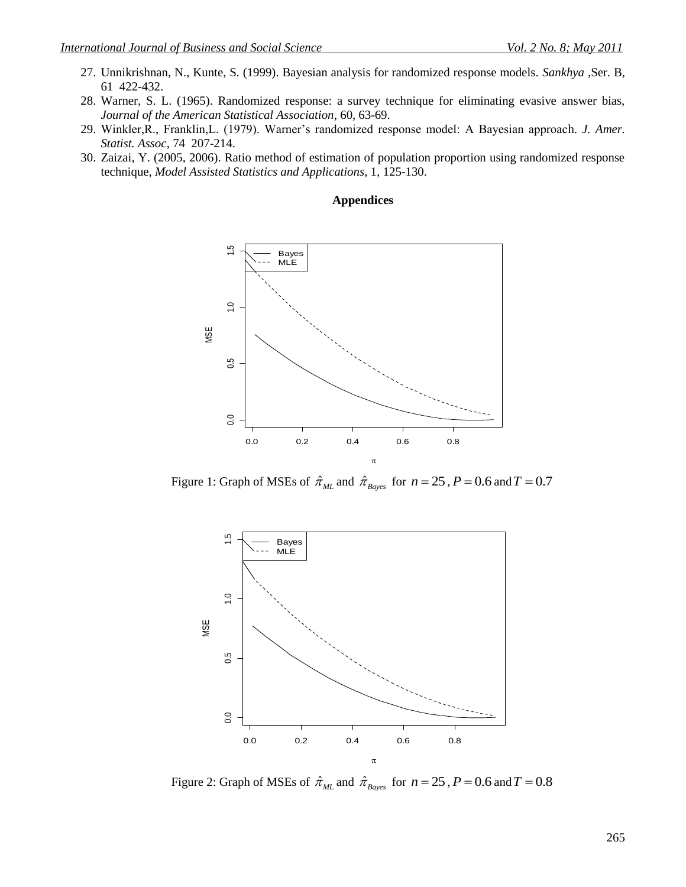- 27. Unnikrishnan, N., Kunte, S. (1999). Bayesian analysis for randomized response models. *Sankhya* ,Ser. B, 61 422-432.
- 28. Warner, S. L. (1965). Randomized response: a survey technique for eliminating evasive answer bias, *Journal of the American Statistical Association*, 60, 63-69.
- 29. Winkler,R., Franklin,L. (1979). Warner's randomized response model: A Bayesian approach. *J. Amer. Statist. Assoc*, 74 207-214.
- 30. Zaizai, Y. (2005, 2006). Ratio method of estimation of population proportion using randomized response technique, *Model Assisted Statistics and Applications*, 1, 125-130.

#### **Appendices**



Figure 1: Graph of MSEs of  $\hat{\pi}_{ML}$  and  $\hat{\pi}_{Bayes}$  for  $n = 25$ ,  $P = 0.6$  and  $T = 0.7$ 



Figure 2: Graph of MSEs of  $\hat{\pi}_{ML}$  and  $\hat{\pi}_{Bayes}$  for  $n = 25$ ,  $P = 0.6$  and  $T = 0.8$